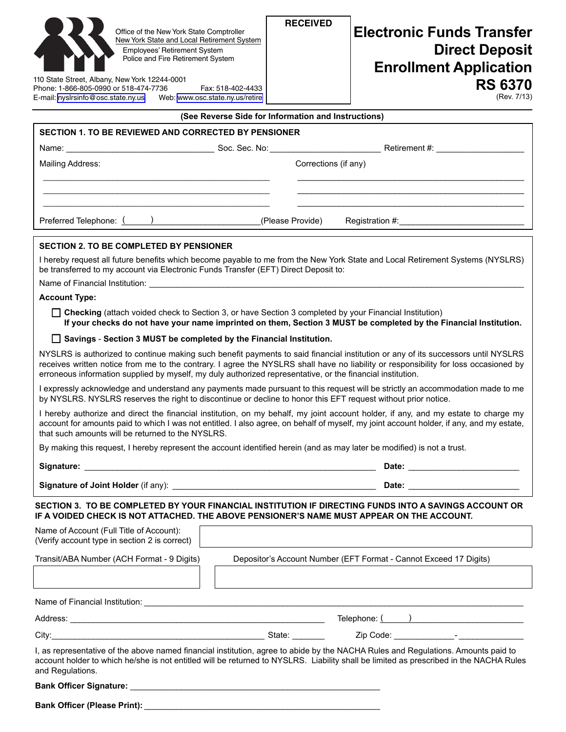| Office of the New York State Comptroller<br>New York State and Local Retirement System<br><b>Employees' Retirement System</b><br>Police and Fire Retirement System<br>110 State Street, Albany, New York 12244-0001<br>Phone: 1-866-805-0990 or 518-474-7736<br>Fax: 518-402-4433<br>E-mail: nyslrsinfo@osc.state.ny.us<br>Web: www.osc.state.ny.us/retire                              | <b>RECEIVED</b><br><b>Electronic Funds Transfer</b><br><b>Direct Deposit</b><br><b>Enrollment Application</b><br><b>RS 6370</b><br>(Rev. 7/13)                                                                                 |
|-----------------------------------------------------------------------------------------------------------------------------------------------------------------------------------------------------------------------------------------------------------------------------------------------------------------------------------------------------------------------------------------|--------------------------------------------------------------------------------------------------------------------------------------------------------------------------------------------------------------------------------|
| (See Reverse Side for Information and Instructions)<br><b>SECTION 1. TO BE REVIEWED AND CORRECTED BY PENSIONER</b>                                                                                                                                                                                                                                                                      |                                                                                                                                                                                                                                |
|                                                                                                                                                                                                                                                                                                                                                                                         |                                                                                                                                                                                                                                |
| Mailing Address:                                                                                                                                                                                                                                                                                                                                                                        | Corrections (if any)                                                                                                                                                                                                           |
|                                                                                                                                                                                                                                                                                                                                                                                         |                                                                                                                                                                                                                                |
|                                                                                                                                                                                                                                                                                                                                                                                         |                                                                                                                                                                                                                                |
|                                                                                                                                                                                                                                                                                                                                                                                         |                                                                                                                                                                                                                                |
| <b>SECTION 2. TO BE COMPLETED BY PENSIONER</b>                                                                                                                                                                                                                                                                                                                                          |                                                                                                                                                                                                                                |
| I hereby request all future benefits which become payable to me from the New York State and Local Retirement Systems (NYSLRS)<br>be transferred to my account via Electronic Funds Transfer (EFT) Direct Deposit to:                                                                                                                                                                    |                                                                                                                                                                                                                                |
| Name of Financial Institution: <u>example and the contract of the contract of the contract of the contract of the contract of the contract of the contract of the contract of the contract of the contract of the contract of th</u>                                                                                                                                                    |                                                                                                                                                                                                                                |
| <b>Account Type:</b>                                                                                                                                                                                                                                                                                                                                                                    |                                                                                                                                                                                                                                |
| □ Checking (attach voided check to Section 3, or have Section 3 completed by your Financial Institution)<br>If your checks do not have your name imprinted on them, Section 3 MUST be completed by the Financial Institution.                                                                                                                                                           |                                                                                                                                                                                                                                |
| □ Savings - Section 3 MUST be completed by the Financial Institution.                                                                                                                                                                                                                                                                                                                   |                                                                                                                                                                                                                                |
| NYSLRS is authorized to continue making such benefit payments to said financial institution or any of its successors until NYSLRS<br>receives written notice from me to the contrary. I agree the NYSLRS shall have no liability or responsibility for loss occasioned by<br>erroneous information supplied by myself, my duly authorized representative, or the financial institution. |                                                                                                                                                                                                                                |
| I expressly acknowledge and understand any payments made pursuant to this request will be strictly an accommodation made to me<br>by NYSLRS. NYSLRS reserves the right to discontinue or decline to honor this EFT request without prior notice.                                                                                                                                        |                                                                                                                                                                                                                                |
| I hereby authorize and direct the financial institution, on my behalf, my joint account holder, if any, and my estate to charge my<br>account for amounts paid to which I was not entitled. I also agree, on behalf of myself, my joint account holder, if any, and my estate,<br>that such amounts will be returned to the NYSLRS.                                                     |                                                                                                                                                                                                                                |
| By making this request, I hereby represent the account identified herein (and as may later be modified) is not a trust.                                                                                                                                                                                                                                                                 |                                                                                                                                                                                                                                |
|                                                                                                                                                                                                                                                                                                                                                                                         |                                                                                                                                                                                                                                |
|                                                                                                                                                                                                                                                                                                                                                                                         | Date: the contract of the contract of the contract of the contract of the contract of the contract of the contract of the contract of the contract of the contract of the contract of the contract of the contract of the cont |
| SECTION 3. TO BE COMPLETED BY YOUR FINANCIAL INSTITUTION IF DIRECTING FUNDS INTO A SAVINGS ACCOUNT OR<br>IF A VOIDED CHECK IS NOT ATTACHED. THE ABOVE PENSIONER'S NAME MUST APPEAR ON THE ACCOUNT.                                                                                                                                                                                      |                                                                                                                                                                                                                                |
| Name of Account (Full Title of Account):<br>(Verify account type in section 2 is correct)                                                                                                                                                                                                                                                                                               |                                                                                                                                                                                                                                |
| Transit/ABA Number (ACH Format - 9 Digits)                                                                                                                                                                                                                                                                                                                                              | Depositor's Account Number (EFT Format - Cannot Exceed 17 Digits)                                                                                                                                                              |
|                                                                                                                                                                                                                                                                                                                                                                                         |                                                                                                                                                                                                                                |
|                                                                                                                                                                                                                                                                                                                                                                                         |                                                                                                                                                                                                                                |
|                                                                                                                                                                                                                                                                                                                                                                                         |                                                                                                                                                                                                                                |
|                                                                                                                                                                                                                                                                                                                                                                                         | City: 2010 City: 2010 City: 2010 City: 2010 Code: 2010 Code: 2010 Code: 2010 Code: 2010 Code: 2010 City: 2010 Code: 2010 Code: 2010 Code: 2010 Code: 2010 Code: 2010 Code: 2010 Code: 2010 Code: 2010 Code: 2010 Code: 2010 Co |
| I, as representative of the above named financial institution, agree to abide by the NACHA Rules and Regulations. Amounts paid to<br>account holder to which he/she is not entitled will be returned to NYSLRS. Liability shall be limited as prescribed in the NACHA Rules<br>and Regulations.                                                                                         |                                                                                                                                                                                                                                |
|                                                                                                                                                                                                                                                                                                                                                                                         |                                                                                                                                                                                                                                |
|                                                                                                                                                                                                                                                                                                                                                                                         |                                                                                                                                                                                                                                |